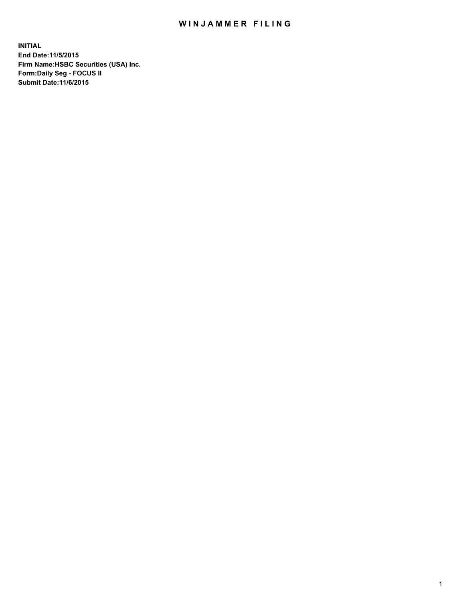## WIN JAMMER FILING

**INITIAL End Date:11/5/2015 Firm Name:HSBC Securities (USA) Inc. Form:Daily Seg - FOCUS II Submit Date:11/6/2015**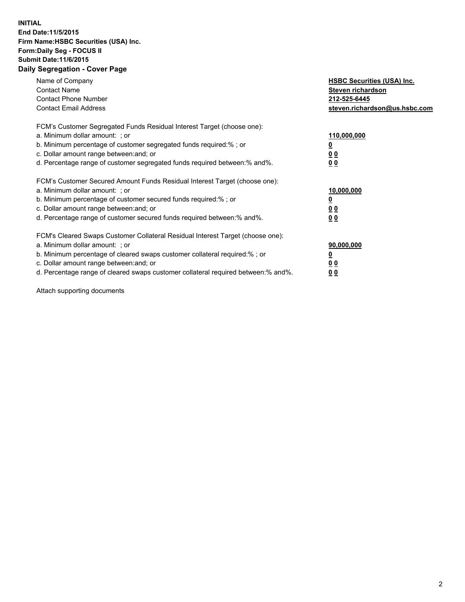## **INITIAL End Date:11/5/2015 Firm Name:HSBC Securities (USA) Inc. Form:Daily Seg - FOCUS II Submit Date:11/6/2015 Daily Segregation - Cover Page**

| Name of Company<br><b>Contact Name</b><br><b>Contact Phone Number</b><br><b>Contact Email Address</b>                                                                                                                                                                                                                         | <b>HSBC Securities (USA) Inc.</b><br>Steven richardson<br>212-525-6445<br>steven.richardson@us.hsbc.com |
|-------------------------------------------------------------------------------------------------------------------------------------------------------------------------------------------------------------------------------------------------------------------------------------------------------------------------------|---------------------------------------------------------------------------------------------------------|
| FCM's Customer Segregated Funds Residual Interest Target (choose one):<br>a. Minimum dollar amount: ; or<br>b. Minimum percentage of customer segregated funds required:%; or<br>c. Dollar amount range between: and; or<br>d. Percentage range of customer segregated funds required between: % and %.                       | 110,000,000<br><u>0</u><br>0 <sub>0</sub><br>0 <sub>0</sub>                                             |
| FCM's Customer Secured Amount Funds Residual Interest Target (choose one):<br>a. Minimum dollar amount: ; or<br>b. Minimum percentage of customer secured funds required:%; or<br>c. Dollar amount range between: and; or<br>d. Percentage range of customer secured funds required between: % and %.                         | 10,000,000<br>0 <sub>0</sub><br>0 <sub>0</sub>                                                          |
| FCM's Cleared Swaps Customer Collateral Residual Interest Target (choose one):<br>a. Minimum dollar amount: ; or<br>b. Minimum percentage of cleared swaps customer collateral required:%; or<br>c. Dollar amount range between: and; or<br>d. Percentage range of cleared swaps customer collateral required between:% and%. | 90,000,000<br><u>0</u><br>00<br><u>00</u>                                                               |

Attach supporting documents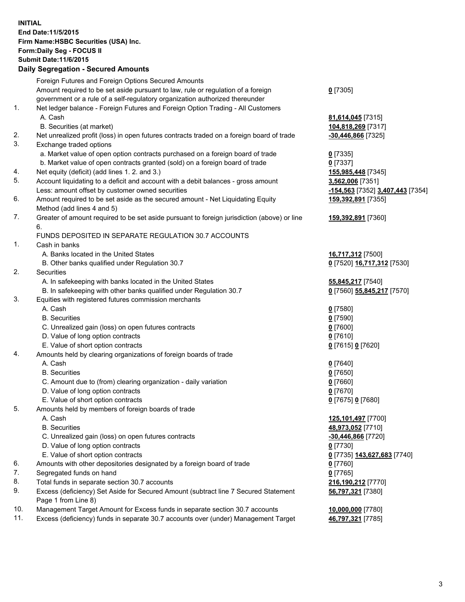**INITIAL End Date:11/5/2015 Firm Name:HSBC Securities (USA) Inc. Form:Daily Seg - FOCUS II Submit Date:11/6/2015 Daily Segregation - Secured Amounts**

Foreign Futures and Foreign Options Secured Amounts Amount required to be set aside pursuant to law, rule or regulation of a foreign government or a rule of a self-regulatory organization authorized thereunder **0** [7305] 1. Net ledger balance - Foreign Futures and Foreign Option Trading - All Customers A. Cash **81,614,045** [7315] B. Securities (at market) **104,818,269** [7317] 2. Net unrealized profit (loss) in open futures contracts traded on a foreign board of trade **-30,446,866** [7325] 3. Exchange traded options a. Market value of open option contracts purchased on a foreign board of trade **0** [7335] b. Market value of open contracts granted (sold) on a foreign board of trade **0** [7337] 4. Net equity (deficit) (add lines 1. 2. and 3.) **155,985,448** [7345] 5. Account liquidating to a deficit and account with a debit balances - gross amount **3,562,006** [7351] Less: amount offset by customer owned securities **-154,563** [7352] **3,407,443** [7354] 6. Amount required to be set aside as the secured amount - Net Liquidating Equity Method (add lines 4 and 5) **159,392,891** [7355] 7. Greater of amount required to be set aside pursuant to foreign jurisdiction (above) or line 6. **159,392,891** [7360] FUNDS DEPOSITED IN SEPARATE REGULATION 30.7 ACCOUNTS 1. Cash in banks A. Banks located in the United States **16,717,312** [7500] B. Other banks qualified under Regulation 30.7 **0** [7520] **16,717,312** [7530] 2. Securities A. In safekeeping with banks located in the United States **55,845,217** [7540] B. In safekeeping with other banks qualified under Regulation 30.7 **0** [7560] **55,845,217** [7570] 3. Equities with registered futures commission merchants A. Cash **0** [7580] B. Securities **0** [7590] C. Unrealized gain (loss) on open futures contracts **0** [7600] D. Value of long option contracts **0** [7610] E. Value of short option contracts **0** [7615] **0** [7620] 4. Amounts held by clearing organizations of foreign boards of trade A. Cash **0** [7640] B. Securities **0** [7650] C. Amount due to (from) clearing organization - daily variation **0** [7660] D. Value of long option contracts **0** [7670] E. Value of short option contracts **0** [7675] **0** [7680] 5. Amounts held by members of foreign boards of trade A. Cash **125,101,497** [7700] B. Securities **48,973,052** [7710] C. Unrealized gain (loss) on open futures contracts **-30,446,866** [7720] D. Value of long option contracts **0** [7730] E. Value of short option contracts **0** [7735] **143,627,683** [7740] 6. Amounts with other depositories designated by a foreign board of trade **0** [7760] 7. Segregated funds on hand **0** [7765] 8. Total funds in separate section 30.7 accounts **216,190,212** [7770] 9. Excess (deficiency) Set Aside for Secured Amount (subtract line 7 Secured Statement Page 1 from Line 8) **56,797,321** [7380] 10. Management Target Amount for Excess funds in separate section 30.7 accounts **10,000,000** [7780]

11. Excess (deficiency) funds in separate 30.7 accounts over (under) Management Target **46,797,321** [7785]

3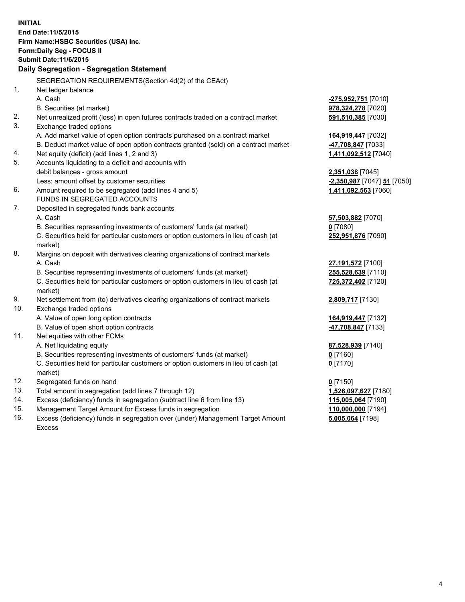| <b>INITIAL</b> | End Date: 11/5/2015<br>Firm Name: HSBC Securities (USA) Inc.<br>Form: Daily Seg - FOCUS II<br><b>Submit Date: 11/6/2015</b><br>Daily Segregation - Segregation Statement |                             |
|----------------|--------------------------------------------------------------------------------------------------------------------------------------------------------------------------|-----------------------------|
|                | SEGREGATION REQUIREMENTS(Section 4d(2) of the CEAct)                                                                                                                     |                             |
| 1.             | Net ledger balance                                                                                                                                                       |                             |
|                | A. Cash                                                                                                                                                                  | <u>-275,952,751</u> [7010]  |
|                | B. Securities (at market)                                                                                                                                                | 978,324,278 [7020]          |
| 2.             | Net unrealized profit (loss) in open futures contracts traded on a contract market                                                                                       | 591,510,385 [7030]          |
| 3.             | Exchange traded options                                                                                                                                                  |                             |
|                | A. Add market value of open option contracts purchased on a contract market                                                                                              | 164,919,447 [7032]          |
|                | B. Deduct market value of open option contracts granted (sold) on a contract market                                                                                      | -47,708,847 [7033]          |
| 4.             | Net equity (deficit) (add lines 1, 2 and 3)                                                                                                                              | 1,411,092,512 [7040]        |
| 5.             | Accounts liquidating to a deficit and accounts with                                                                                                                      |                             |
|                | debit balances - gross amount                                                                                                                                            | 2,351,038 [7045]            |
|                | Less: amount offset by customer securities                                                                                                                               | -2,350,987 [7047] 51 [7050] |
| 6.             | Amount required to be segregated (add lines 4 and 5)                                                                                                                     | 1,411,092,563 [7060]        |
|                | FUNDS IN SEGREGATED ACCOUNTS                                                                                                                                             |                             |
| 7.             | Deposited in segregated funds bank accounts                                                                                                                              |                             |
|                | A. Cash                                                                                                                                                                  | 57,503,882 [7070]           |
|                | B. Securities representing investments of customers' funds (at market)                                                                                                   | $0$ [7080]                  |
|                | C. Securities held for particular customers or option customers in lieu of cash (at                                                                                      | 252,951,876 [7090]          |
|                | market)                                                                                                                                                                  |                             |
| 8.             | Margins on deposit with derivatives clearing organizations of contract markets                                                                                           |                             |
|                | A. Cash                                                                                                                                                                  | 27,191,572 [7100]           |
|                | B. Securities representing investments of customers' funds (at market)                                                                                                   | 255,528,639 [7110]          |
|                | C. Securities held for particular customers or option customers in lieu of cash (at<br>market)                                                                           | 725,372,402 [7120]          |
| 9.             | Net settlement from (to) derivatives clearing organizations of contract markets                                                                                          | 2,809,717 [7130]            |
| 10.            | Exchange traded options                                                                                                                                                  |                             |
|                | A. Value of open long option contracts                                                                                                                                   | 164,919,447 [7132]          |
|                | B. Value of open short option contracts                                                                                                                                  | 47,708,847 [7133]           |
| 11.            | Net equities with other FCMs                                                                                                                                             |                             |
|                | A. Net liquidating equity                                                                                                                                                | 87,528,939 [7140]           |
|                | B. Securities representing investments of customers' funds (at market)                                                                                                   | 0 [7160]                    |
|                | C. Securities held for particular customers or option customers in lieu of cash (at<br>market)                                                                           | $0$ [7170]                  |
| 12.            | Segregated funds on hand                                                                                                                                                 | $0$ [7150]                  |
| 13.            | Total amount in segregation (add lines 7 through 12)                                                                                                                     | 1,526,097,627 [7180]        |
| 14.            | Excess (deficiency) funds in segregation (subtract line 6 from line 13)                                                                                                  | 115,005,064 [7190]          |
| 15.            | Management Target Amount for Excess funds in segregation                                                                                                                 | 110,000,000 [7194]          |
| 16.            | Excess (deficiency) funds in segregation over (under) Management Target Amount                                                                                           | 5,005,064 [7198]            |

16. Excess (deficiency) funds in segregation over (under) Management Target Amount Excess